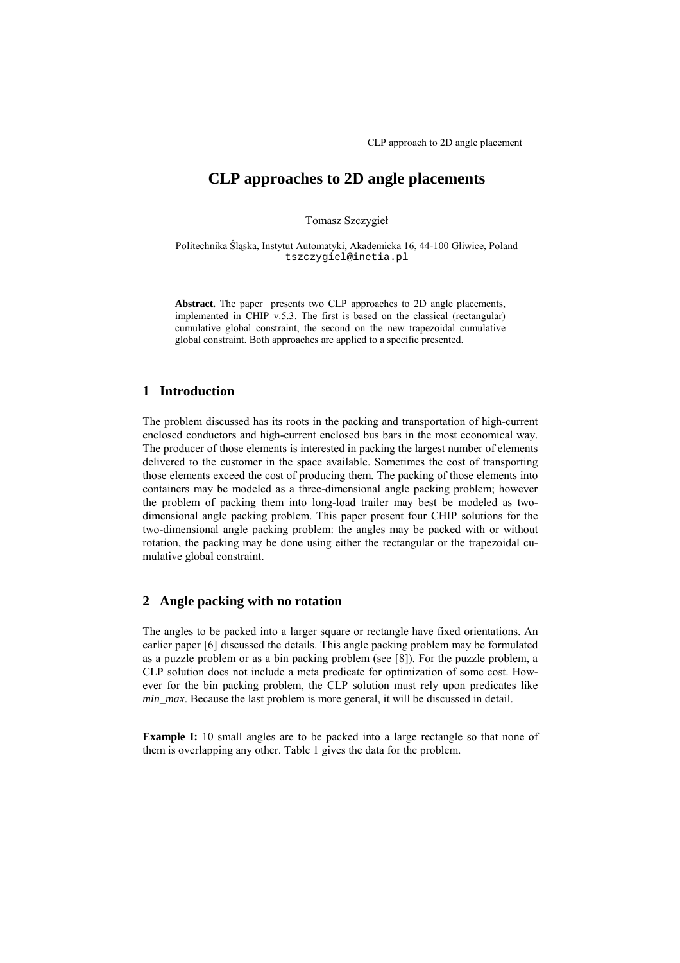# **CLP approaches to 2D angle placements**

Tomasz Szczygieł

Politechnika Śląska, Instytut Automatyki, Akademicka 16, 44-100 Gliwice, Poland tszczygiel@inetia.pl

**Abstract.** The paper presents two CLP approaches to 2D angle placements, implemented in CHIP v.5.3. The first is based on the classical (rectangular) cumulative global constraint, the second on the new trapezoidal cumulative global constraint. Both approaches are applied to a specific presented.

### **1 Introduction**

The problem discussed has its roots in the packing and transportation of high-current enclosed conductors and high-current enclosed bus bars in the most economical way. The producer of those elements is interested in packing the largest number of elements delivered to the customer in the space available. Sometimes the cost of transporting those elements exceed the cost of producing them. The packing of those elements into containers may be modeled as a three-dimensional angle packing problem; however the problem of packing them into long-load trailer may best be modeled as twodimensional angle packing problem. This paper present four CHIP solutions for the two-dimensional angle packing problem: the angles may be packed with or without rotation, the packing may be done using either the rectangular or the trapezoidal cumulative global constraint.

### **2 Angle packing with no rotation**

The angles to be packed into a larger square or rectangle have fixed orientations. An earlier paper [6] discussed the details. This angle packing problem may be formulated as a puzzle problem or as a bin packing problem (see [8]). For the puzzle problem, a CLP solution does not include a meta predicate for optimization of some cost. However for the bin packing problem, the CLP solution must rely upon predicates like *min\_max*. Because the last problem is more general, it will be discussed in detail.

**Example I:** 10 small angles are to be packed into a large rectangle so that none of them is overlapping any other. Table 1 gives the data for the problem.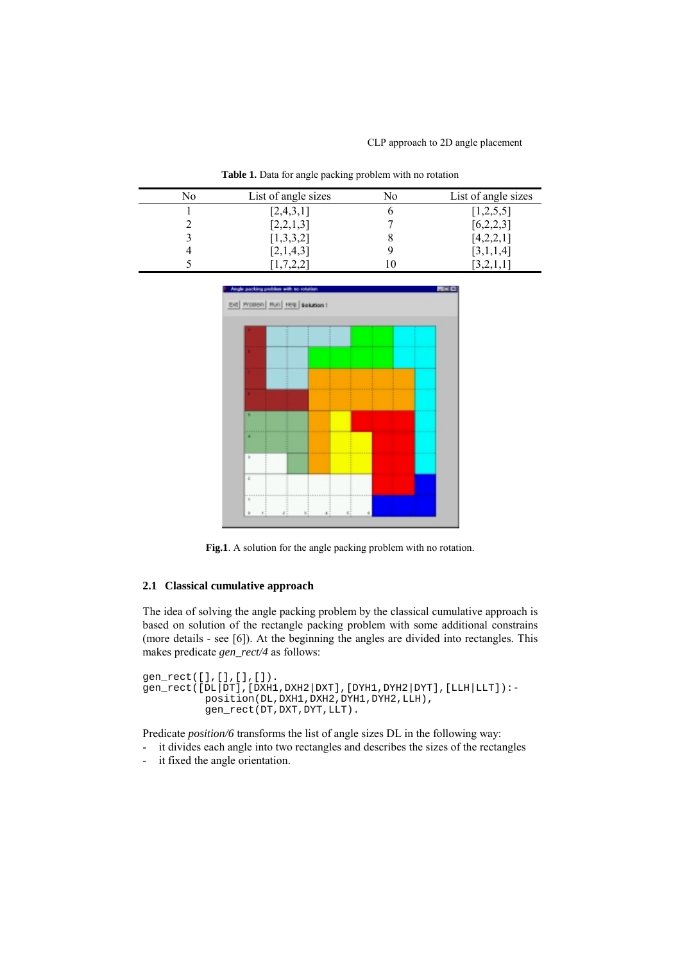| No | List of angle sizes | No | List of angle sizes |
|----|---------------------|----|---------------------|
|    | [2,4,3,1]           |    | [1,2,5,5]           |
|    | [2,2,1,3]           |    | [6,2,2,3]           |
|    | [1,3,3,2]           |    | [4,2,2,1]           |
|    | [2,1,4,3]           |    | 3,1,1,4             |
|    |                     |    |                     |

**Table 1.** Data for angle packing problem with no rotation



**Fig.1**. A solution for the angle packing problem with no rotation.

#### **2.1 Classical cumulative approach**

The idea of solving the angle packing problem by the classical cumulative approach is based on solution of the rectangle packing problem with some additional constrains (more details - see [6]). At the beginning the angles are divided into rectangles. This makes predicate *gen\_rect/4* as follows:

```
gen_rect([],[],[],[]).
gen\_rect([DL|DT],[DXH1,DXH2|DXT],[DYH1,DYH2|DYT],[LLH|LLT]):-
          position(DL,DXH1,DXH2,DYH1,DYH2,LLH),
          qen_rect(DT,DXT,DYT,LLT).
```
Predicate *position/6* transforms the list of angle sizes DL in the following way:

- it divides each angle into two rectangles and describes the sizes of the rectangles
- it fixed the angle orientation.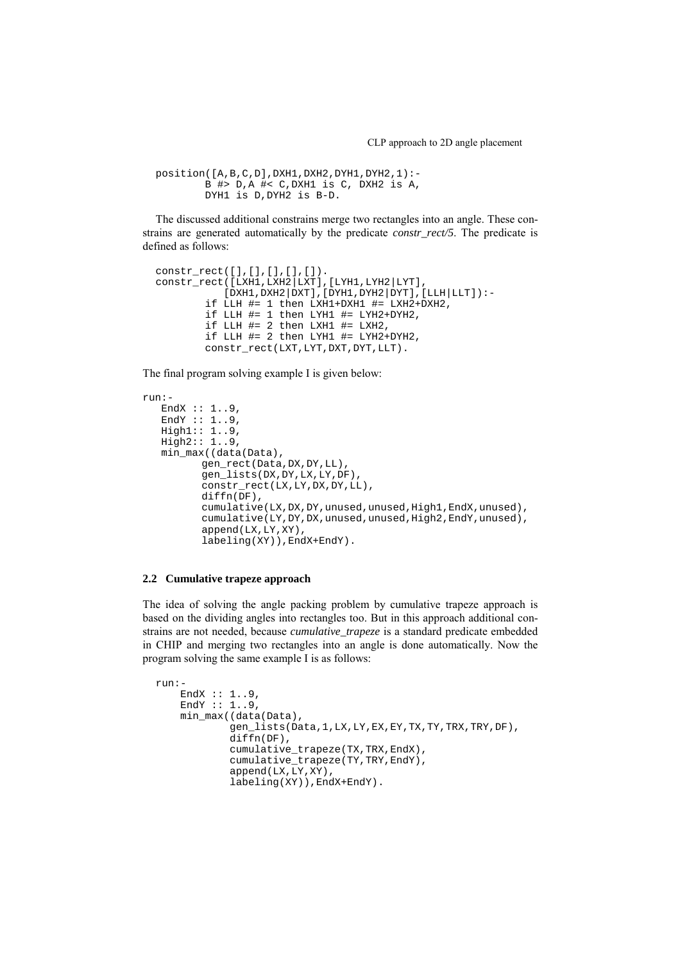```
position([A,B,C,D],DXH1,DXH2,DYH1,DYH2,1):-
        B #> D,A #< C,DXH1 is C, DXH2 is A,
        DYH1 is D,DYH2 is B-D.
```
The discussed additional constrains merge two rectangles into an angle. These constrains are generated automatically by the predicate *constr\_rect/5*. The predicate is defined as follows:

```
constr_rect([],[],[],[],[]).
constr_rect([LXH1,LXH2|LXT],[LYH1,LYH2|LYT],
           [DXH1,DXH2|DXT],[DYH1,DYH2|DYT],[LLH|LLT]):-
        if LLH #= 1 then LXH1+DXH1 #= LXH2+DXH2,
        if LLH #= 1 then LYH1 #= LYH2+DYH2,
        if LLH #= 2 then LXH1 #= LXH2,
        if LLH #= 2 then LYH1 #= LYH2+DYH2,
        constr_rect(LXT,LYT,DXT,DYT,LLT).
```
The final program solving example I is given below:

```
run:-
  ..<br>EndX :: 1..9,
  EndY :: 1.0,
   High1:: 1..9,
   High2:: 1..9,
  min_max((data(Data),
         gen_rect(Data,DX,DY,LL),
          gen_lists(DX,DY,LX,LY,DF),
          constr_rect(LX,LY,DX,DY,LL),
         diffn(DF),
          cumulative(LX,DX,DY,unused,unused,High1,EndX,unused),
          cumulative(LY,DY,DX,unused,unused,High2,EndY,unused),
          append(LX,LY,XY),
          labeling(XY)),EndX+EndY).
```
#### **2.2 Cumulative trapeze approach**

The idea of solving the angle packing problem by cumulative trapeze approach is based on the dividing angles into rectangles too. But in this approach additional constrains are not needed, because *cumulative\_trapeze* is a standard predicate embedded in CHIP and merging two rectangles into an angle is done automatically. Now the program solving the same example I is as follows:

```
run:-
    EndX :: 1..9,EndY :: 1.0,min_max((data(Data),
            gen_lists(Data,1,LX,LY,EX,EY,TX,TY,TRX,TRY,DF),
            diffn(DF),
            cumulative_trapeze(TX,TRX,EndX),
            cumulative_trapeze(TY,TRY,EndY),
            append(LX,LY,XY),
            labeling(XY)),EndX+EndY).
```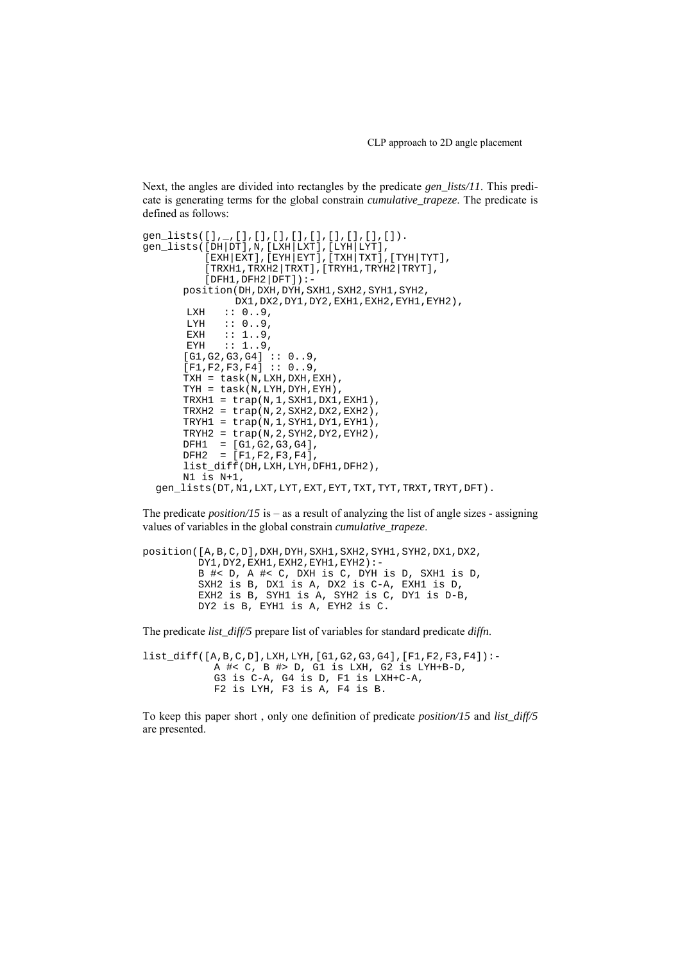Next, the angles are divided into rectangles by the predicate *gen\_lists/11*. This predicate is generating terms for the global constrain *cumulative\_trapeze*. The predicate is defined as follows:

```
gen_lists([],_,[],[],[],[],[],[],[],[],[]).
gen_lists([DH|DT],N,[LXH|LXT],[LYH|LYT],
          [EXH|EXT], [EYH|EYT], [TXH|TXT], [TYH|TYT],
          [TRXH1,TRXH2|TRXT],[TRYH1,TRYH2|TRYT],
          [DFH1,DFH2|DFT]) :-
      position(DH,DXH,DYH,SXH1,SXH2,SYH1,SYH2,
               DX1,DX2,DY1,DY2,EXH1,EXH2,EYH1,EYH2),
       LXH :: 0.09,<br>LYH :: 0.9,
       LYH :: 0..9,<br>EXH :: 1..9,
       EXH :: 1..9,
       EYH :: 1..9,
      [G1,G2,G3,G4] :: 0..9,[F1,F2,F3,F4] :: 0..9,TXH = task(N,LXH,DXH,EXH),
      TYH = task(N,LYH,DYH,EYH),
      TRXH1 = trap(N,1,SXH1,DX1,EXH1),
      TRXH2 = trap(N,2,SXH2,DX2,EXH2),
      TRYH1 = trap(N,1,SYH1,DY1,EYH1),
      TRYH2 = trap(N, 2, SYH2, DY2, EYH2),
       DFH1 = [G1,G2,G3,G4],
       DFH2 = [F1,F2,F3,F4],
      list_diff(DH,LXH,LYH,DFH1,DFH2),
      N1 is N+1,
 gen_lists(DT,N1,LXT,LYT,EXT,EYT,TXT,TYT,TRXT,TRYT,DFT).
```
The predicate *position*/15 is – as a result of analyzing the list of angle sizes - assigning values of variables in the global constrain *cumulative\_trapeze*.

```
position([A,B,C,D],DXH,DYH,SXH1,SXH2,SYH1,SYH2,DX1,DX2,
         DY1,DY2,EXH1,EXH2,EYH1,EYH2):-
         B #< D, A #< C, DXH is C, DYH is D, SXH1 is D,
         SXH2 is B, DX1 is A, DX2 is C-A, EXH1 is D,
         EXH2 is B, SYH1 is A, SYH2 is C, DY1 is D-B,
         DY2 is B, EYH1 is A, EYH2 is C.
```
The predicate *list\_diff/5* prepare list of variables for standard predicate *diffn*.

list\_diff([A,B,C,D],LXH,LYH,[G1,G2,G3,G4],[F1,F2,F3,F4]):- A #< C, B #> D, G1 is LXH, G2 is LYH+B-D, G3 is C-A, G4 is D, F1 is LXH+C-A, F2 is LYH, F3 is A, F4 is B.

To keep this paper short , only one definition of predicate *position/15* and *list\_diff/5* are presented.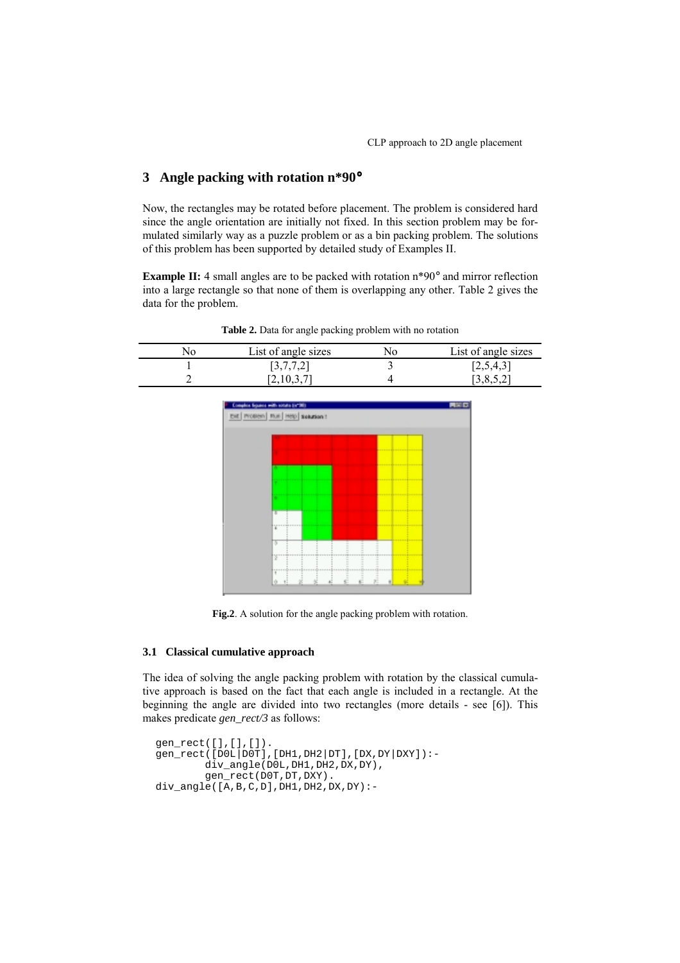## **3 Angle packing with rotation n\*90**°

Now, the rectangles may be rotated before placement. The problem is considered hard since the angle orientation are initially not fixed. In this section problem may be formulated similarly way as a puzzle problem or as a bin packing problem. The solutions of this problem has been supported by detailed study of Examples II.

**Example II:** 4 small angles are to be packed with rotation n\*90° and mirror reflection into a large rectangle so that none of them is overlapping any other. Table 2 gives the data for the problem.

**Table 2.** Data for angle packing problem with no rotation

| NO | List of angle sizes | List of angle sizes |
|----|---------------------|---------------------|
|    | [3, 1, 1, 2]        | 12,5,4,3            |
|    |                     |                     |



**Fig.2**. A solution for the angle packing problem with rotation.

#### **3.1 Classical cumulative approach**

The idea of solving the angle packing problem with rotation by the classical cumulative approach is based on the fact that each angle is included in a rectangle. At the beginning the angle are divided into two rectangles (more details - see [6]). This makes predicate *gen\_rect/3* as follows:

```
gen_rect([],[],[]).
gen_rect([D0L|D0T],[DH1,DH2|DT],[DX,DY|DXY]):-
        div_angle(D0L,DH1,DH2,DX,DY),
        gen_rect(D0T,DT,DXY).
div\_angle([A,B,C,D],DH1,DH2,DX,DY):-
```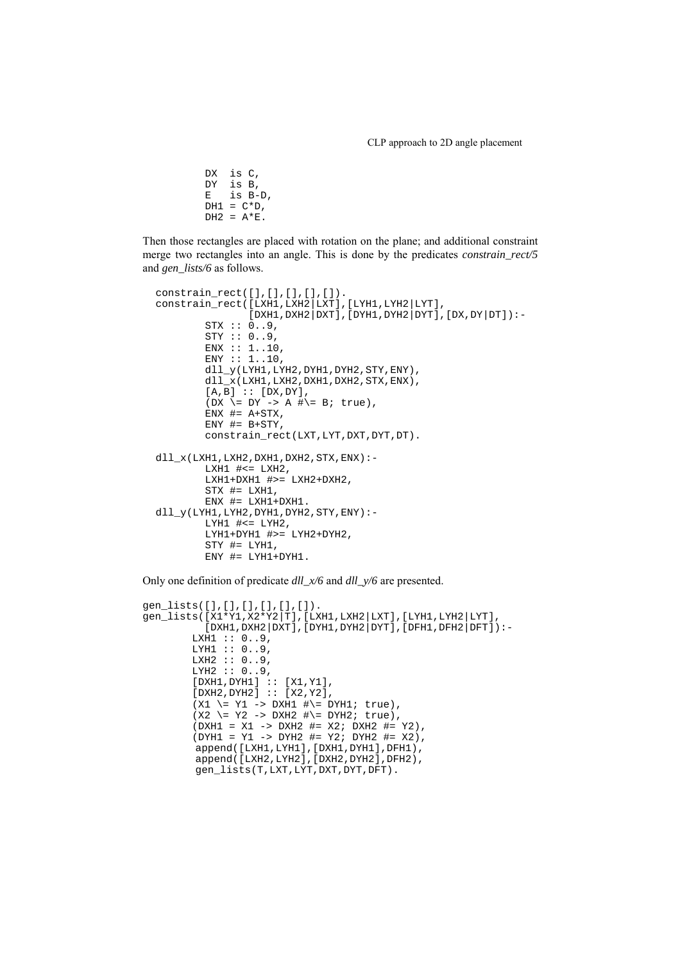```
DX is C,
DY is B,
E is B-D,
DH1 = C*D.
DH2 = A*E.
```
Then those rectangles are placed with rotation on the plane; and additional constraint merge two rectangles into an angle. This is done by the predicates *constrain\_rect/5* and *gen\_lists/6* as follows.

```
constrain_rect([],[],[],[],[]).
constrain_rect([LXH1,LXH2|LXT],[LYH1,LYH2|LYT],
                [DXH1,DXH2|DXT],[DYH1,DYH2|DYT],[DX,DY|DT]):-
        STX :: 0..9,
        STY :: 0..9,ENX : : 1..10,ENY :: 1..10,
        dll_y(LYH1,LYH2,DYH1,DYH2,STY,ENY),
        dll_x(LXH1,LXH2,DXH1,DXH2,STX,ENX),
        [A,B] :: [DX, DY],(DX \geq DY -> A #\geq B; true),
        ENX #= A+STX,ENY #= B+STY,
        constrain_rect(LXT, LYT, DXT, DYT, DT).
dll<sub>x</sub>(LXH1,LXH2,DXH1,DXH2,STX,ENX):-
        LXH1 # <= LXH2,
        LXH1+DXH1 #>= LXH2+DXH2,
        STX #= LXH1,
        ENX #= LXH1+DXH1.
dll_y(LYH1, LYH2, DYH1, DYH2, STY, ENY):-
        LYH1 #\le LYH2,
        LYH1+DYH1 #>= LYH2+DYH2,
        STY #= LYH1,
        ENY #= LYH1+DYH1.
```
Only one definition of predicate *dll\_x/6* and *dll\_y/6* are presented.

```
gen_lists([],[],[],[],[],[]).
gen_lists([X1*Y1,X2*Y2|T],[LXH1,LXH2|LXT],[LYH1,LYH2|LYT],
            \left[\frac{1}{DXH1},\frac{1}{DXH2}\right]DXT],\left[\frac{DYH1}{DYH2},\frac{1}{DYH1},\frac{1}{DFH2}\right]DFH2\left[\frac{1}{DFT}\right]):-
         LXH1 :: 0..9,LYH1 :: 0..9,
         LXH2 :: 0..9,
         LYH2 :: 0..9,
         [DXH1,DYH1] :: [X1,Y1],
          [DXH2,DYH2] :: [X2,Y2],
          (X1 \leq Y1 -> DXH1 #\= DYH1; true),
          (X2 \leq Y2 \rightarrow DXH2 \#)=DYH2; true),(DXH1 = X1 -> DXH2 #= X2; DXH2 #= Y2),
          (DYH1 = Y1 -> DYH2 #= Y2; DYH2 #= X2),
          append([LXH1,LYH1],[DXH1,DYH1],DFH1),
          append([LXH2,LYH2],[DXH2,DYH2],DFH2),
          gen_lists(T,LXT,LYT,DXT,DYT,DFT).
```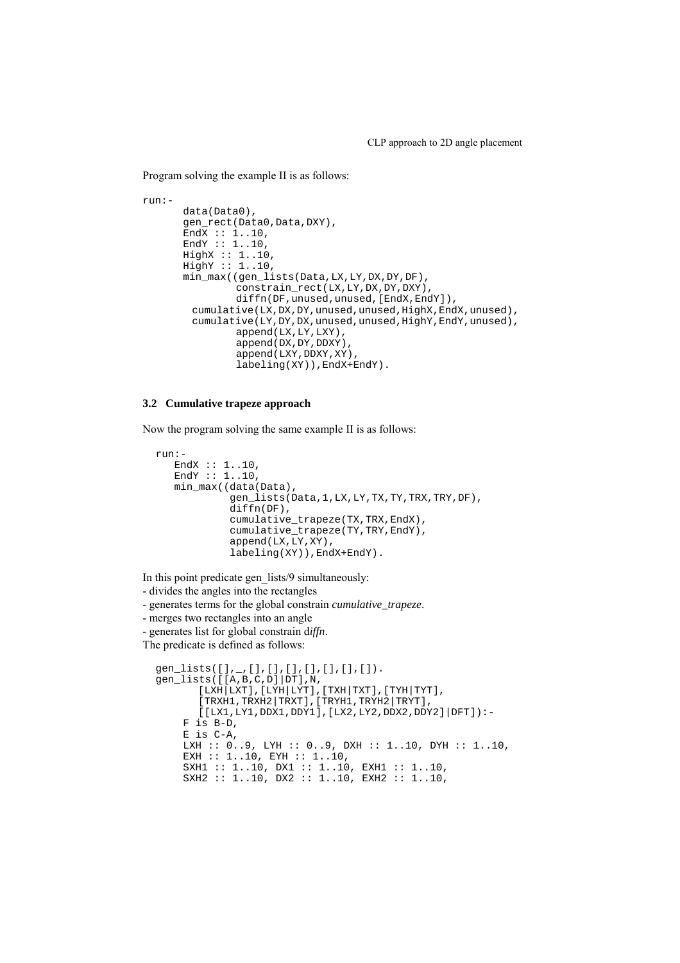Program solving the example II is as follows:

```
run:data(Data0),
      gen_rect(Data0,Data,DXY),
      EndX :: 1..10,
      EndY :: 1..10,
      HighX :: 1..10,
      HighY :: 1..10,
      min_max((gen_lists(Data,LX,LY,DX,DY,DF),
               constrain_rect(LX,LY,DX,DY,DXY),
               diffn(DF,unused,unused,[EndX,EndY]),
        cumulative(LX,DX,DY,unused,unused,HighX,EndX,unused),
        cumulative(LY,DY,DX,unused,unused,HighY,EndY,unused),
               append(LX,LY,LXY),
               append(DX,DY,DDXY),
               append(LXY,DDXY,XY),
               labeling(XY)),EndX+EndY).
```
#### **3.2 Cumulative trapeze approach**

Now the program solving the same example II is as follows:

```
run:-
   EndX :: 1..10,
   EndY :: 1..10,
   min_max((data(Data),
            gen_lists(Data,1,LX,LY,TX,TY,TRX,TRY,DF),
            diffn(DF),
            cumulative_trapeze(TX,TRX,EndX),
            cumulative_trapeze(TY,TRY,EndY),
            append(LX,LY,XY),
            labeling(XY)),EndX+EndY).
```
In this point predicate gen\_lists/9 simultaneously:

- divides the angles into the rectangles

- generates terms for the global constrain *cumulative\_trapeze*.

- merges two rectangles into an angle

- generates list for global constrain d*iffn*.

The predicate is defined as follows:

```
gen_lists([],_,[],[],[],[],[],[],[]).
gen_lists([[A,B,C,D]|DT],N,
        [LXH|LXT],[LYH|LYT],[TXH|TXT],[TYH|TYT],
        \left[\text{TRXH1},\text{TRXH2}\,|\,\text{TRXT}\,\right] , \left[\text{TRYH1},\text{TRYH2}\,|\,\text{TRYT}\,\right] ,
        [[LX1,LY1,DDX1,DDY1],[LX2,LY2,DDX2,DDY2]|DFT]):-
    F is B-D,
    E is C-A,
    LXH :: 0..9, LYH :: 0..9, DXH :: 1..10, DYH :: 1..10,
    EXH :: 1..10, EYH :: 1..10,
    SXH1 :: 1..10, DX1 :: 1..10, EXH1 :: 1..10,
    SXH2 :: 1..10, DX2 :: 1..10, EXH2 :: 1..10,
```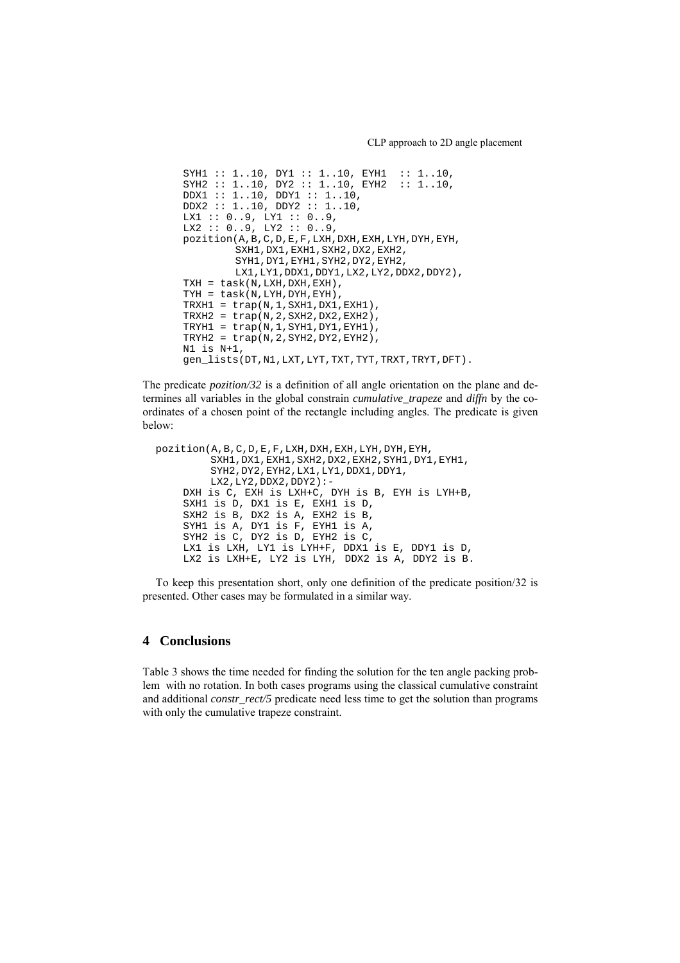```
SYH1 :: 1..10, DY1 :: 1..10, EYH1 :: 1..10,
SYH2 :: 1..10, DY2 :: 1..10, EYH2 :: 1..10,
DDX1 :: 1..10, DDY1 :: 1..10,
DDX2 :: 1..10, DDY2 :: 1..10,
LX1 :: 0..9, LY1 :: 0..9,
LX2 :: 0.09, LY2 :: 0.09,pozition(A,B,C,D,E,F,LXH,DXH,EXH,LYH,DYH,EYH,
        SXH1,DX1,EXH1,SXH2,DX2,EXH2,
        SYH1,DY1,EYH1,SYH2,DY2,EYH2,
        LX1,LY1,DDX1,DDY1,LX2,LY2,DDX2,DDY2),
TXH = task(N,LXH,DXH,EXH),
TYH = task(N,LYH,DYH,EYH),
TRXH1 = trap(N,1, SXH1,DX1, EXH1),TRXH2 = trap(N, 2, SXH2, DX2, EXH2),
TRYH1 = trap(N,1,SYH1,DY1,EYH1),TRYH2 = trap(N, 2, SYH2, DY2, EYH2),
N1 is N+1,
gen_lists(DT,N1,LXT,LYT,TXT,TYT,TRXT,TRYT,DFT).
```
The predicate *pozition/32* is a definition of all angle orientation on the plane and determines all variables in the global constrain *cumulative\_trapeze* and *diffn* by the coordinates of a chosen point of the rectangle including angles. The predicate is given below:

```
pozition(A,B,C,D,E,F,LXH,DXH,EXH,LYH,DYH,EYH,
         SXH1,DX1,EXH1,SXH2,DX2,EXH2,SYH1,DY1,EYH1,
         SYH2,DY2,EYH2,LX1,LY1,DDX1,DDY1,
        LX2,LY2,DDX2,DDY2):-
    DXH is C, EXH is LXH+C, DYH is B, EYH is LYH+B,
    SXH1 is D, DX1 is E, EXH1 is D,
    SXH2 is B, DX2 is A, EXH2 is B,
    SYH1 is A, DY1 is F, EYH1 is A,
    SYH2 is C, DY2 is D, EYH2 is C,
    LX1 is LXH, LY1 is LYH+F, DDX1 is E, DDY1 is D,
    LX2 is LXH+E, LY2 is LYH, DDX2 is A, DDY2 is B.
```
To keep this presentation short, only one definition of the predicate position/32 is presented. Other cases may be formulated in a similar way.

### **4 Conclusions**

Table 3 shows the time needed for finding the solution for the ten angle packing problem with no rotation. In both cases programs using the classical cumulative constraint and additional *constr\_rect/5* predicate need less time to get the solution than programs with only the cumulative trapeze constraint.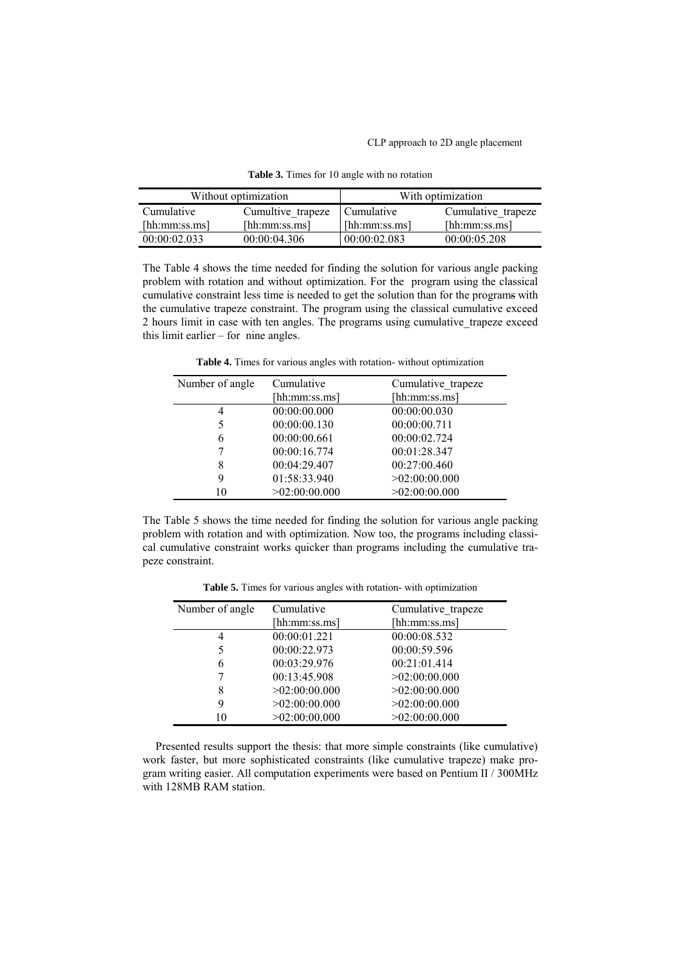| Without optimization |                   | With optimization |                    |
|----------------------|-------------------|-------------------|--------------------|
| Cumulative           | Cumultive trapeze | I Cumulative      | Cumulative trapeze |
| [hh:mm:ss.ms]        | [hh:mm:ss,ms]     | [hh:mm:ss,ms]     | [hh:mm:ss,ms]      |
| 00:00:02.033         | 00.00.04306       | 00:00:02.083      | 00:00:05.208       |

**Table 3.** Times for 10 angle with no rotation

The Table 4 shows the time needed for finding the solution for various angle packing problem with rotation and without optimization. For the program using the classical cumulative constraint less time is needed to get the solution than for the programs with the cumulative trapeze constraint. The program using the classical cumulative exceed 2 hours limit in case with ten angles. The programs using cumulative\_trapeze exceed this limit earlier – for nine angles.

**Table 4.** Times for various angles with rotation- without optimization

| Number of angle | Cumulative    | Cumulative trapeze |
|-----------------|---------------|--------------------|
|                 | [hh:mm:ss.ms] | [hh:mm:ss.ms]      |
| 4               | 00:00:00.000  | 00:00:00.030       |
| 5               | 00:00:00.130  | 00:00:00.711       |
| 6               | 00:00:00.661  | 00:00:02.724       |
| 7               | 00:00:16.774  | 00:01:28.347       |
| 8               | 00:04:29.407  | 00:27:00.460       |
| 9               | 01:58:33.940  | >02:00:00.000      |
| 10              | >02:00:00.000 | >02:00:00.000      |

The Table 5 shows the time needed for finding the solution for various angle packing problem with rotation and with optimization. Now too, the programs including classical cumulative constraint works quicker than programs including the cumulative trapeze constraint.

**Table 5.** Times for various angles with rotation- with optimization

| Number of angle | Cumulative<br>[hh:mm:ss.ms] | Cumulative trapeze<br>[hh:mm:ss.ms] |
|-----------------|-----------------------------|-------------------------------------|
|                 |                             |                                     |
| 4               | 00:00:01.221                | 00:00:08.532                        |
| 5               | 00:00:22.973                | 00:00:59.596                        |
| 6               | 00:03:29.976                | 00:21:01.414                        |
|                 | 00:13:45.908                | >02:00:00.000                       |
| 8               | >02:00:00.000               | >02:00:00.000                       |
| 9               | >02:00:00.000               | >02:00:00.000                       |
| 10              | >02:00:00.000               | >02:00:00.000                       |

Presented results support the thesis: that more simple constraints (like cumulative) work faster, but more sophisticated constraints (like cumulative trapeze) make program writing easier. All computation experiments were based on Pentium II / 300MHz with 128MB RAM station.